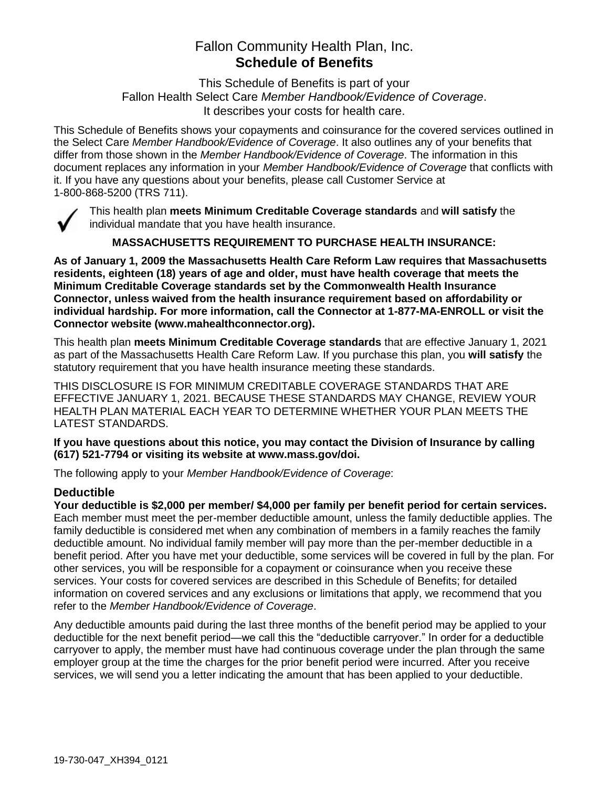# Fallon Community Health Plan, Inc. **Schedule of Benefits**

This Schedule of Benefits is part of your Fallon Health Select Care *Member Handbook/Evidence of Coverage*. It describes your costs for health care.

This Schedule of Benefits shows your copayments and coinsurance for the covered services outlined in the Select Care *Member Handbook/Evidence of Coverage*. It also outlines any of your benefits that differ from those shown in the *Member Handbook/Evidence of Coverage*. The information in this document replaces any information in your *Member Handbook/Evidence of Coverage* that conflicts with it. If you have any questions about your benefits, please call Customer Service at 1-800-868-5200 (TRS 711).



This health plan **meets Minimum Creditable Coverage standards** and **will satisfy** the individual mandate that you have health insurance.

**MASSACHUSETTS REQUIREMENT TO PURCHASE HEALTH INSURANCE:**

**As of January 1, 2009 the Massachusetts Health Care Reform Law requires that Massachusetts residents, eighteen (18) years of age and older, must have health coverage that meets the Minimum Creditable Coverage standards set by the Commonwealth Health Insurance Connector, unless waived from the health insurance requirement based on affordability or individual hardship. For more information, call the Connector at 1-877-MA-ENROLL or visit the Connector website (www.mahealthconnector.org).**

This health plan **meets Minimum Creditable Coverage standards** that are effective January 1, 2021 as part of the Massachusetts Health Care Reform Law. If you purchase this plan, you **will satisfy** the statutory requirement that you have health insurance meeting these standards.

THIS DISCLOSURE IS FOR MINIMUM CREDITABLE COVERAGE STANDARDS THAT ARE EFFECTIVE JANUARY 1, 2021. BECAUSE THESE STANDARDS MAY CHANGE, REVIEW YOUR HEALTH PLAN MATERIAL EACH YEAR TO DETERMINE WHETHER YOUR PLAN MEETS THE LATEST STANDARDS.

**If you have questions about this notice, you may contact the Division of Insurance by calling (617) 521-7794 or visiting its website at www.mass.gov/doi.** 

The following apply to your *Member Handbook/Evidence of Coverage*:

## **Deductible**

**Your deductible is \$2,000 per member/ \$4,000 per family per benefit period for certain services.** Each member must meet the per-member deductible amount, unless the family deductible applies. The family deductible is considered met when any combination of members in a family reaches the family deductible amount. No individual family member will pay more than the per-member deductible in a benefit period. After you have met your deductible, some services will be covered in full by the plan. For other services, you will be responsible for a copayment or coinsurance when you receive these services. Your costs for covered services are described in this Schedule of Benefits; for detailed information on covered services and any exclusions or limitations that apply, we recommend that you refer to the *Member Handbook/Evidence of Coverage*.

Any deductible amounts paid during the last three months of the benefit period may be applied to your deductible for the next benefit period—we call this the "deductible carryover." In order for a deductible carryover to apply, the member must have had continuous coverage under the plan through the same employer group at the time the charges for the prior benefit period were incurred. After you receive services, we will send you a letter indicating the amount that has been applied to your deductible.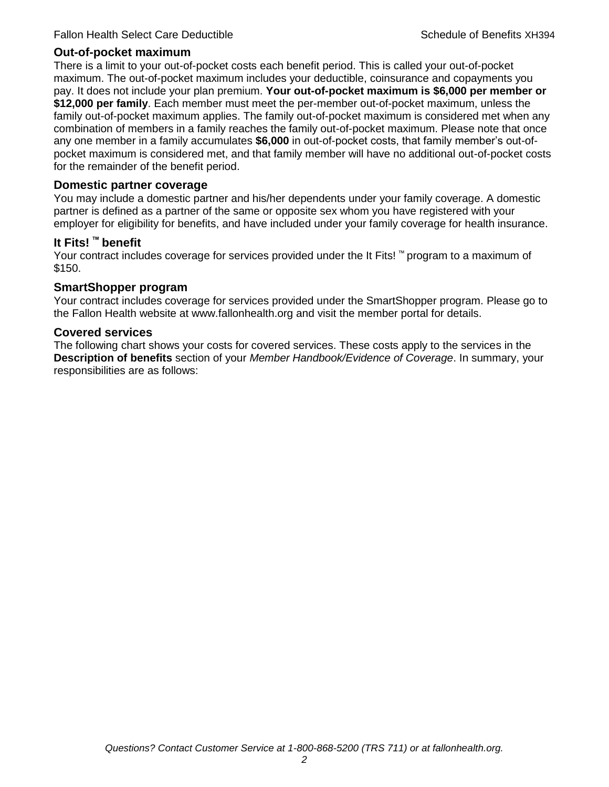#### **Out-of-pocket maximum**

There is a limit to your out-of-pocket costs each benefit period. This is called your out-of-pocket maximum. The out-of-pocket maximum includes your deductible, coinsurance and copayments you pay. It does not include your plan premium. **Your out-of-pocket maximum is \$6,000 per member or \$12,000 per family**. Each member must meet the per-member out-of-pocket maximum, unless the family out-of-pocket maximum applies. The family out-of-pocket maximum is considered met when any combination of members in a family reaches the family out-of-pocket maximum. Please note that once any one member in a family accumulates **\$6,000** in out-of-pocket costs, that family member's out-ofpocket maximum is considered met, and that family member will have no additional out-of-pocket costs for the remainder of the benefit period.

#### **Domestic partner coverage**

You may include a domestic partner and his/her dependents under your family coverage. A domestic partner is defined as a partner of the same or opposite sex whom you have registered with your employer for eligibility for benefits, and have included under your family coverage for health insurance.

#### **It Fits! ™ benefit**

Your contract includes coverage for services provided under the It Fits! ™ program to a maximum of \$150.

#### **SmartShopper program**

Your contract includes coverage for services provided under the SmartShopper program. Please go to the Fallon Health website at www.fallonhealth.org and visit the member portal for details.

#### **Covered services**

The following chart shows your costs for covered services. These costs apply to the services in the **Description of benefits** section of your *Member Handbook/Evidence of Coverage*. In summary, your responsibilities are as follows: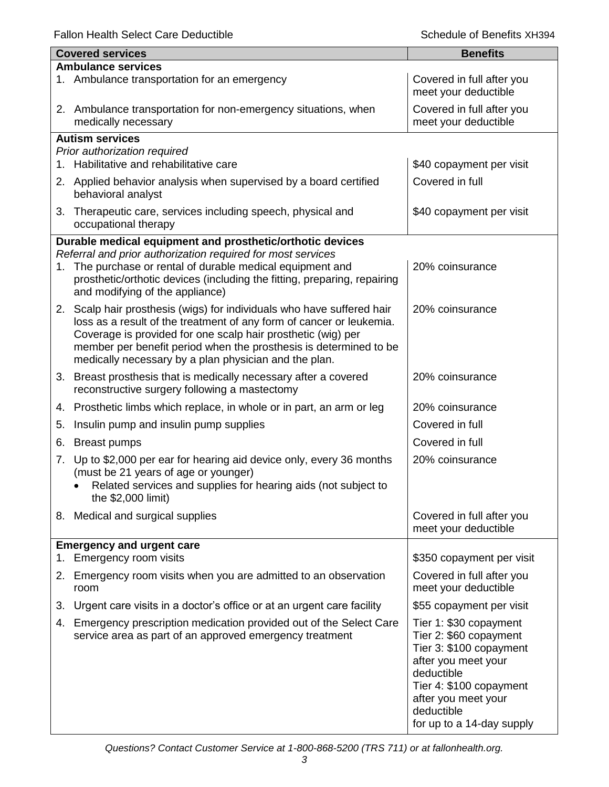|    | <b>Covered services</b>                                                                                                                                                                                                                                                                                                                      | <b>Benefits</b>                                                                                                                                                                                               |  |  |
|----|----------------------------------------------------------------------------------------------------------------------------------------------------------------------------------------------------------------------------------------------------------------------------------------------------------------------------------------------|---------------------------------------------------------------------------------------------------------------------------------------------------------------------------------------------------------------|--|--|
|    | <b>Ambulance services</b>                                                                                                                                                                                                                                                                                                                    |                                                                                                                                                                                                               |  |  |
|    | 1. Ambulance transportation for an emergency                                                                                                                                                                                                                                                                                                 | Covered in full after you<br>meet your deductible                                                                                                                                                             |  |  |
|    | 2. Ambulance transportation for non-emergency situations, when<br>medically necessary                                                                                                                                                                                                                                                        | Covered in full after you<br>meet your deductible                                                                                                                                                             |  |  |
|    | <b>Autism services</b>                                                                                                                                                                                                                                                                                                                       |                                                                                                                                                                                                               |  |  |
|    | Prior authorization required                                                                                                                                                                                                                                                                                                                 |                                                                                                                                                                                                               |  |  |
|    | 1. Habilitative and rehabilitative care                                                                                                                                                                                                                                                                                                      | \$40 copayment per visit                                                                                                                                                                                      |  |  |
|    | 2. Applied behavior analysis when supervised by a board certified<br>behavioral analyst                                                                                                                                                                                                                                                      | Covered in full                                                                                                                                                                                               |  |  |
|    | 3. Therapeutic care, services including speech, physical and<br>occupational therapy                                                                                                                                                                                                                                                         | \$40 copayment per visit                                                                                                                                                                                      |  |  |
|    | Durable medical equipment and prosthetic/orthotic devices                                                                                                                                                                                                                                                                                    |                                                                                                                                                                                                               |  |  |
|    | Referral and prior authorization required for most services                                                                                                                                                                                                                                                                                  |                                                                                                                                                                                                               |  |  |
| 1. | The purchase or rental of durable medical equipment and<br>prosthetic/orthotic devices (including the fitting, preparing, repairing<br>and modifying of the appliance)                                                                                                                                                                       | 20% coinsurance                                                                                                                                                                                               |  |  |
|    | 2. Scalp hair prosthesis (wigs) for individuals who have suffered hair<br>loss as a result of the treatment of any form of cancer or leukemia.<br>Coverage is provided for one scalp hair prosthetic (wig) per<br>member per benefit period when the prosthesis is determined to be<br>medically necessary by a plan physician and the plan. | 20% coinsurance                                                                                                                                                                                               |  |  |
|    | 3. Breast prosthesis that is medically necessary after a covered<br>reconstructive surgery following a mastectomy                                                                                                                                                                                                                            | 20% coinsurance                                                                                                                                                                                               |  |  |
|    | 4. Prosthetic limbs which replace, in whole or in part, an arm or leg                                                                                                                                                                                                                                                                        | 20% coinsurance                                                                                                                                                                                               |  |  |
| 5. | Insulin pump and insulin pump supplies                                                                                                                                                                                                                                                                                                       | Covered in full                                                                                                                                                                                               |  |  |
| 6. | <b>Breast pumps</b>                                                                                                                                                                                                                                                                                                                          | Covered in full                                                                                                                                                                                               |  |  |
| 7. | Up to \$2,000 per ear for hearing aid device only, every 36 months<br>(must be 21 years of age or younger)<br>Related services and supplies for hearing aids (not subject to<br>the \$2,000 limit)                                                                                                                                           | 20% coinsurance                                                                                                                                                                                               |  |  |
|    |                                                                                                                                                                                                                                                                                                                                              |                                                                                                                                                                                                               |  |  |
|    | 8. Medical and surgical supplies                                                                                                                                                                                                                                                                                                             | Covered in full after you<br>meet your deductible                                                                                                                                                             |  |  |
|    | <b>Emergency and urgent care</b><br>1. Emergency room visits                                                                                                                                                                                                                                                                                 | \$350 copayment per visit                                                                                                                                                                                     |  |  |
|    | 2. Emergency room visits when you are admitted to an observation<br>room                                                                                                                                                                                                                                                                     | Covered in full after you<br>meet your deductible                                                                                                                                                             |  |  |
| 3. | Urgent care visits in a doctor's office or at an urgent care facility                                                                                                                                                                                                                                                                        | \$55 copayment per visit                                                                                                                                                                                      |  |  |
|    | 4. Emergency prescription medication provided out of the Select Care<br>service area as part of an approved emergency treatment                                                                                                                                                                                                              | Tier 1: \$30 copayment<br>Tier 2: \$60 copayment<br>Tier 3: \$100 copayment<br>after you meet your<br>deductible<br>Tier 4: \$100 copayment<br>after you meet your<br>deductible<br>for up to a 14-day supply |  |  |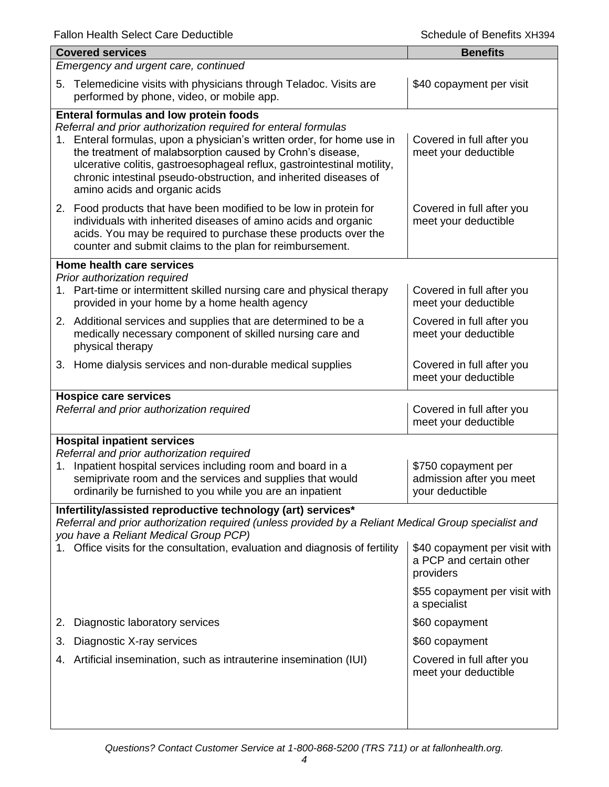|                                                                                                                                                                                                                                                                              | <b>Covered services</b>                                                                                                                                                                                                                                                                                                                                                                                                             | <b>Benefits</b>                                                       |  |
|------------------------------------------------------------------------------------------------------------------------------------------------------------------------------------------------------------------------------------------------------------------------------|-------------------------------------------------------------------------------------------------------------------------------------------------------------------------------------------------------------------------------------------------------------------------------------------------------------------------------------------------------------------------------------------------------------------------------------|-----------------------------------------------------------------------|--|
| Emergency and urgent care, continued                                                                                                                                                                                                                                         |                                                                                                                                                                                                                                                                                                                                                                                                                                     |                                                                       |  |
|                                                                                                                                                                                                                                                                              | 5. Telemedicine visits with physicians through Teladoc. Visits are<br>performed by phone, video, or mobile app.                                                                                                                                                                                                                                                                                                                     | \$40 copayment per visit                                              |  |
| 1.                                                                                                                                                                                                                                                                           | <b>Enteral formulas and low protein foods</b><br>Referral and prior authorization required for enteral formulas<br>Enteral formulas, upon a physician's written order, for home use in<br>the treatment of malabsorption caused by Crohn's disease,<br>ulcerative colitis, gastroesophageal reflux, gastrointestinal motility,<br>chronic intestinal pseudo-obstruction, and inherited diseases of<br>amino acids and organic acids | Covered in full after you<br>meet your deductible                     |  |
|                                                                                                                                                                                                                                                                              | 2. Food products that have been modified to be low in protein for<br>individuals with inherited diseases of amino acids and organic<br>acids. You may be required to purchase these products over the<br>counter and submit claims to the plan for reimbursement.                                                                                                                                                                   | Covered in full after you<br>meet your deductible                     |  |
|                                                                                                                                                                                                                                                                              | Home health care services                                                                                                                                                                                                                                                                                                                                                                                                           |                                                                       |  |
|                                                                                                                                                                                                                                                                              | Prior authorization required<br>1. Part-time or intermittent skilled nursing care and physical therapy<br>provided in your home by a home health agency                                                                                                                                                                                                                                                                             | Covered in full after you<br>meet your deductible                     |  |
|                                                                                                                                                                                                                                                                              | 2. Additional services and supplies that are determined to be a<br>medically necessary component of skilled nursing care and<br>physical therapy                                                                                                                                                                                                                                                                                    | Covered in full after you<br>meet your deductible                     |  |
|                                                                                                                                                                                                                                                                              | 3. Home dialysis services and non-durable medical supplies                                                                                                                                                                                                                                                                                                                                                                          | Covered in full after you<br>meet your deductible                     |  |
|                                                                                                                                                                                                                                                                              | <b>Hospice care services</b><br>Referral and prior authorization required                                                                                                                                                                                                                                                                                                                                                           | Covered in full after you<br>meet your deductible                     |  |
| <b>Hospital inpatient services</b><br>Referral and prior authorization required<br>Inpatient hospital services including room and board in a<br>1.<br>semiprivate room and the services and supplies that would<br>ordinarily be furnished to you while you are an inpatient |                                                                                                                                                                                                                                                                                                                                                                                                                                     | \$750 copayment per<br>admission after you meet<br>your deductible    |  |
|                                                                                                                                                                                                                                                                              | Infertility/assisted reproductive technology (art) services*                                                                                                                                                                                                                                                                                                                                                                        |                                                                       |  |
|                                                                                                                                                                                                                                                                              | Referral and prior authorization required (unless provided by a Reliant Medical Group specialist and<br>you have a Reliant Medical Group PCP)<br>Office visits for the consultation, evaluation and diagnosis of fertility                                                                                                                                                                                                          | \$40 copayment per visit with<br>a PCP and certain other<br>providers |  |
|                                                                                                                                                                                                                                                                              |                                                                                                                                                                                                                                                                                                                                                                                                                                     | \$55 copayment per visit with<br>a specialist                         |  |
| 2.                                                                                                                                                                                                                                                                           | Diagnostic laboratory services                                                                                                                                                                                                                                                                                                                                                                                                      | \$60 copayment                                                        |  |
| 3.                                                                                                                                                                                                                                                                           | Diagnostic X-ray services                                                                                                                                                                                                                                                                                                                                                                                                           | \$60 copayment                                                        |  |
|                                                                                                                                                                                                                                                                              | 4. Artificial insemination, such as intrauterine insemination (IUI)                                                                                                                                                                                                                                                                                                                                                                 | Covered in full after you<br>meet your deductible                     |  |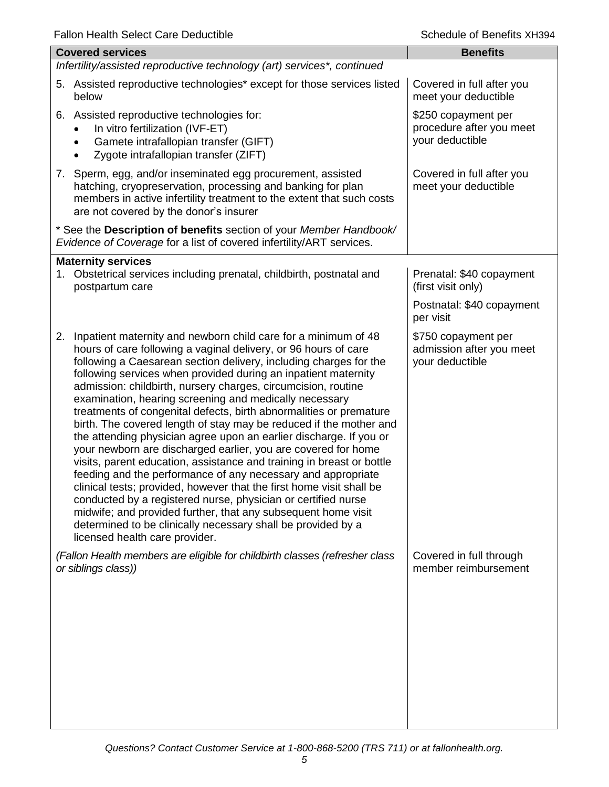| i alion i icalin ocicci oarc Dcuucilbic                                                                                                                                                                                                                                                                                                                                                                                                                                                                                                                                                                                                                                                                                                                                                                                                                                                                                                                                                                                                                                                                                                        | דכטו וא טווסטוס וט טווסט                                           |
|------------------------------------------------------------------------------------------------------------------------------------------------------------------------------------------------------------------------------------------------------------------------------------------------------------------------------------------------------------------------------------------------------------------------------------------------------------------------------------------------------------------------------------------------------------------------------------------------------------------------------------------------------------------------------------------------------------------------------------------------------------------------------------------------------------------------------------------------------------------------------------------------------------------------------------------------------------------------------------------------------------------------------------------------------------------------------------------------------------------------------------------------|--------------------------------------------------------------------|
| <b>Covered services</b>                                                                                                                                                                                                                                                                                                                                                                                                                                                                                                                                                                                                                                                                                                                                                                                                                                                                                                                                                                                                                                                                                                                        | <b>Benefits</b>                                                    |
| Infertility/assisted reproductive technology (art) services*, continued                                                                                                                                                                                                                                                                                                                                                                                                                                                                                                                                                                                                                                                                                                                                                                                                                                                                                                                                                                                                                                                                        |                                                                    |
| 5. Assisted reproductive technologies* except for those services listed<br>below                                                                                                                                                                                                                                                                                                                                                                                                                                                                                                                                                                                                                                                                                                                                                                                                                                                                                                                                                                                                                                                               | Covered in full after you<br>meet your deductible                  |
| Assisted reproductive technologies for:<br>6.<br>In vitro fertilization (IVF-ET)<br>Gamete intrafallopian transfer (GIFT)<br>$\bullet$<br>Zygote intrafallopian transfer (ZIFT)                                                                                                                                                                                                                                                                                                                                                                                                                                                                                                                                                                                                                                                                                                                                                                                                                                                                                                                                                                | \$250 copayment per<br>procedure after you meet<br>your deductible |
| 7. Sperm, egg, and/or inseminated egg procurement, assisted<br>hatching, cryopreservation, processing and banking for plan<br>members in active infertility treatment to the extent that such costs<br>are not covered by the donor's insurer                                                                                                                                                                                                                                                                                                                                                                                                                                                                                                                                                                                                                                                                                                                                                                                                                                                                                                  | Covered in full after you<br>meet your deductible                  |
| * See the Description of benefits section of your Member Handbook/<br>Evidence of Coverage for a list of covered infertility/ART services.                                                                                                                                                                                                                                                                                                                                                                                                                                                                                                                                                                                                                                                                                                                                                                                                                                                                                                                                                                                                     |                                                                    |
| <b>Maternity services</b>                                                                                                                                                                                                                                                                                                                                                                                                                                                                                                                                                                                                                                                                                                                                                                                                                                                                                                                                                                                                                                                                                                                      |                                                                    |
| 1. Obstetrical services including prenatal, childbirth, postnatal and<br>postpartum care                                                                                                                                                                                                                                                                                                                                                                                                                                                                                                                                                                                                                                                                                                                                                                                                                                                                                                                                                                                                                                                       | Prenatal: \$40 copayment<br>(first visit only)                     |
|                                                                                                                                                                                                                                                                                                                                                                                                                                                                                                                                                                                                                                                                                                                                                                                                                                                                                                                                                                                                                                                                                                                                                | Postnatal: \$40 copayment<br>per visit                             |
| 2. Inpatient maternity and newborn child care for a minimum of 48<br>hours of care following a vaginal delivery, or 96 hours of care<br>following a Caesarean section delivery, including charges for the<br>following services when provided during an inpatient maternity<br>admission: childbirth, nursery charges, circumcision, routine<br>examination, hearing screening and medically necessary<br>treatments of congenital defects, birth abnormalities or premature<br>birth. The covered length of stay may be reduced if the mother and<br>the attending physician agree upon an earlier discharge. If you or<br>your newborn are discharged earlier, you are covered for home<br>visits, parent education, assistance and training in breast or bottle<br>feeding and the performance of any necessary and appropriate<br>clinical tests; provided, however that the first home visit shall be<br>conducted by a registered nurse, physician or certified nurse<br>midwife; and provided further, that any subsequent home visit<br>determined to be clinically necessary shall be provided by a<br>licensed health care provider. | \$750 copayment per<br>admission after you meet<br>your deductible |
| (Fallon Health members are eligible for childbirth classes (refresher class<br>or siblings class))                                                                                                                                                                                                                                                                                                                                                                                                                                                                                                                                                                                                                                                                                                                                                                                                                                                                                                                                                                                                                                             | Covered in full through<br>member reimbursement                    |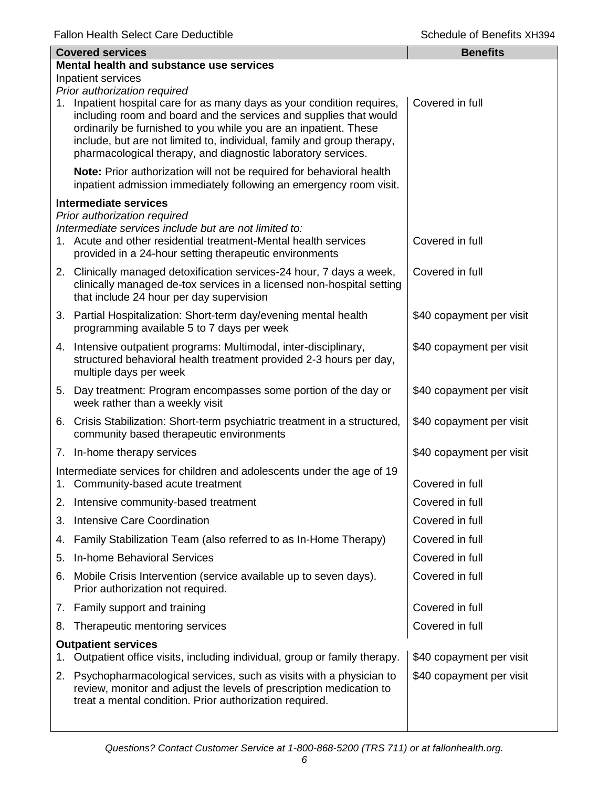|    | <b>Covered services</b>                                                                                                                                                                                                                                                                                                                                    | <b>Benefits</b>          |
|----|------------------------------------------------------------------------------------------------------------------------------------------------------------------------------------------------------------------------------------------------------------------------------------------------------------------------------------------------------------|--------------------------|
|    | Mental health and substance use services                                                                                                                                                                                                                                                                                                                   |                          |
|    | Inpatient services<br>Prior authorization required                                                                                                                                                                                                                                                                                                         |                          |
|    | 1. Inpatient hospital care for as many days as your condition requires,<br>including room and board and the services and supplies that would<br>ordinarily be furnished to you while you are an inpatient. These<br>include, but are not limited to, individual, family and group therapy,<br>pharmacological therapy, and diagnostic laboratory services. | Covered in full          |
|    | Note: Prior authorization will not be required for behavioral health<br>inpatient admission immediately following an emergency room visit.                                                                                                                                                                                                                 |                          |
|    | <b>Intermediate services</b>                                                                                                                                                                                                                                                                                                                               |                          |
|    | Prior authorization required<br>Intermediate services include but are not limited to:<br>1. Acute and other residential treatment-Mental health services<br>provided in a 24-hour setting therapeutic environments                                                                                                                                         | Covered in full          |
|    | 2. Clinically managed detoxification services-24 hour, 7 days a week,<br>clinically managed de-tox services in a licensed non-hospital setting<br>that include 24 hour per day supervision                                                                                                                                                                 | Covered in full          |
|    | 3. Partial Hospitalization: Short-term day/evening mental health<br>programming available 5 to 7 days per week                                                                                                                                                                                                                                             | \$40 copayment per visit |
|    | 4. Intensive outpatient programs: Multimodal, inter-disciplinary,<br>structured behavioral health treatment provided 2-3 hours per day,<br>multiple days per week                                                                                                                                                                                          | \$40 copayment per visit |
|    | 5. Day treatment: Program encompasses some portion of the day or<br>week rather than a weekly visit                                                                                                                                                                                                                                                        | \$40 copayment per visit |
|    | 6. Crisis Stabilization: Short-term psychiatric treatment in a structured,<br>community based therapeutic environments                                                                                                                                                                                                                                     | \$40 copayment per visit |
|    | 7. In-home therapy services                                                                                                                                                                                                                                                                                                                                | \$40 copayment per visit |
|    | Intermediate services for children and adolescents under the age of 19<br>1. Community-based acute treatment                                                                                                                                                                                                                                               | Covered in full          |
| 2. | Intensive community-based treatment                                                                                                                                                                                                                                                                                                                        | Covered in full          |
| 3. | Intensive Care Coordination                                                                                                                                                                                                                                                                                                                                | Covered in full          |
| 4. | Family Stabilization Team (also referred to as In-Home Therapy)                                                                                                                                                                                                                                                                                            | Covered in full          |
| 5. | In-home Behavioral Services                                                                                                                                                                                                                                                                                                                                | Covered in full          |
| 6. | Mobile Crisis Intervention (service available up to seven days).<br>Prior authorization not required.                                                                                                                                                                                                                                                      | Covered in full          |
|    | 7. Family support and training                                                                                                                                                                                                                                                                                                                             | Covered in full          |
| 8. | Therapeutic mentoring services                                                                                                                                                                                                                                                                                                                             | Covered in full          |
| 1. | <b>Outpatient services</b><br>Outpatient office visits, including individual, group or family therapy.                                                                                                                                                                                                                                                     | \$40 copayment per visit |
| 2. | Psychopharmacological services, such as visits with a physician to<br>review, monitor and adjust the levels of prescription medication to<br>treat a mental condition. Prior authorization required.                                                                                                                                                       | \$40 copayment per visit |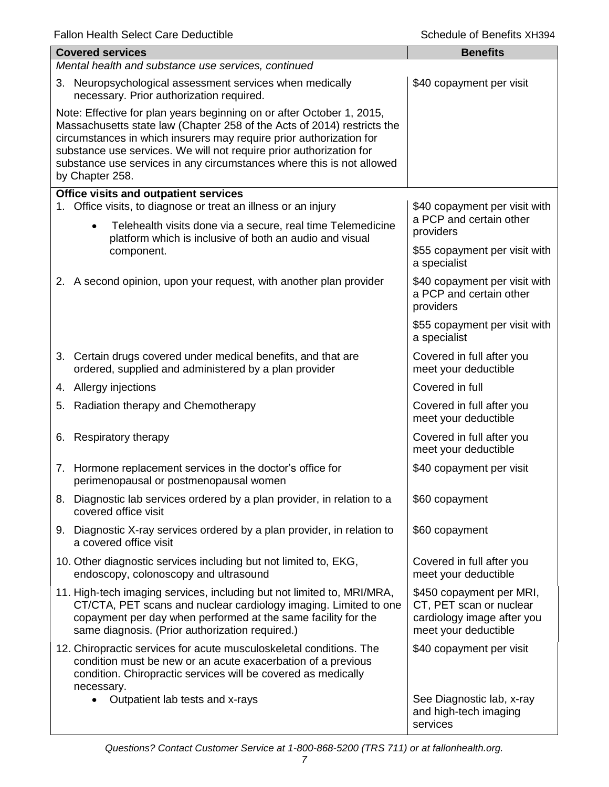|                                                                                                                                                                                                                                                                                                                                                                                            | <b>Covered services</b>                                                                                                                                                                                                                                        | <b>Benefits</b>                                                                                           |  |  |
|--------------------------------------------------------------------------------------------------------------------------------------------------------------------------------------------------------------------------------------------------------------------------------------------------------------------------------------------------------------------------------------------|----------------------------------------------------------------------------------------------------------------------------------------------------------------------------------------------------------------------------------------------------------------|-----------------------------------------------------------------------------------------------------------|--|--|
|                                                                                                                                                                                                                                                                                                                                                                                            | Mental health and substance use services, continued                                                                                                                                                                                                            |                                                                                                           |  |  |
|                                                                                                                                                                                                                                                                                                                                                                                            | 3. Neuropsychological assessment services when medically<br>necessary. Prior authorization required.                                                                                                                                                           | \$40 copayment per visit                                                                                  |  |  |
| Note: Effective for plan years beginning on or after October 1, 2015,<br>Massachusetts state law (Chapter 258 of the Acts of 2014) restricts the<br>circumstances in which insurers may require prior authorization for<br>substance use services. We will not require prior authorization for<br>substance use services in any circumstances where this is not allowed<br>by Chapter 258. |                                                                                                                                                                                                                                                                |                                                                                                           |  |  |
|                                                                                                                                                                                                                                                                                                                                                                                            | Office visits and outpatient services                                                                                                                                                                                                                          |                                                                                                           |  |  |
| 1.                                                                                                                                                                                                                                                                                                                                                                                         | Office visits, to diagnose or treat an illness or an injury<br>Telehealth visits done via a secure, real time Telemedicine<br>$\bullet$<br>platform which is inclusive of both an audio and visual                                                             | \$40 copayment per visit with<br>a PCP and certain other<br>providers                                     |  |  |
|                                                                                                                                                                                                                                                                                                                                                                                            | component.                                                                                                                                                                                                                                                     | \$55 copayment per visit with<br>a specialist                                                             |  |  |
|                                                                                                                                                                                                                                                                                                                                                                                            | 2. A second opinion, upon your request, with another plan provider                                                                                                                                                                                             | \$40 copayment per visit with<br>a PCP and certain other<br>providers                                     |  |  |
|                                                                                                                                                                                                                                                                                                                                                                                            |                                                                                                                                                                                                                                                                | \$55 copayment per visit with<br>a specialist                                                             |  |  |
|                                                                                                                                                                                                                                                                                                                                                                                            | 3. Certain drugs covered under medical benefits, and that are<br>ordered, supplied and administered by a plan provider                                                                                                                                         | Covered in full after you<br>meet your deductible                                                         |  |  |
|                                                                                                                                                                                                                                                                                                                                                                                            | 4. Allergy injections                                                                                                                                                                                                                                          | Covered in full                                                                                           |  |  |
|                                                                                                                                                                                                                                                                                                                                                                                            | 5. Radiation therapy and Chemotherapy                                                                                                                                                                                                                          | Covered in full after you<br>meet your deductible                                                         |  |  |
|                                                                                                                                                                                                                                                                                                                                                                                            | 6. Respiratory therapy                                                                                                                                                                                                                                         | Covered in full after you<br>meet your deductible                                                         |  |  |
|                                                                                                                                                                                                                                                                                                                                                                                            | 7. Hormone replacement services in the doctor's office for<br>perimenopausal or postmenopausal women                                                                                                                                                           | \$40 copayment per visit                                                                                  |  |  |
|                                                                                                                                                                                                                                                                                                                                                                                            | 8. Diagnostic lab services ordered by a plan provider, in relation to a<br>covered office visit                                                                                                                                                                | \$60 copayment                                                                                            |  |  |
|                                                                                                                                                                                                                                                                                                                                                                                            | 9. Diagnostic X-ray services ordered by a plan provider, in relation to<br>a covered office visit                                                                                                                                                              | \$60 copayment                                                                                            |  |  |
|                                                                                                                                                                                                                                                                                                                                                                                            | 10. Other diagnostic services including but not limited to, EKG,<br>endoscopy, colonoscopy and ultrasound                                                                                                                                                      | Covered in full after you<br>meet your deductible                                                         |  |  |
|                                                                                                                                                                                                                                                                                                                                                                                            | 11. High-tech imaging services, including but not limited to, MRI/MRA,<br>CT/CTA, PET scans and nuclear cardiology imaging. Limited to one<br>copayment per day when performed at the same facility for the<br>same diagnosis. (Prior authorization required.) | \$450 copayment per MRI,<br>CT, PET scan or nuclear<br>cardiology image after you<br>meet your deductible |  |  |
|                                                                                                                                                                                                                                                                                                                                                                                            | 12. Chiropractic services for acute musculoskeletal conditions. The<br>condition must be new or an acute exacerbation of a previous<br>condition. Chiropractic services will be covered as medically<br>necessary.                                             | \$40 copayment per visit                                                                                  |  |  |
|                                                                                                                                                                                                                                                                                                                                                                                            | Outpatient lab tests and x-rays<br>$\bullet$                                                                                                                                                                                                                   | See Diagnostic lab, x-ray<br>and high-tech imaging<br>services                                            |  |  |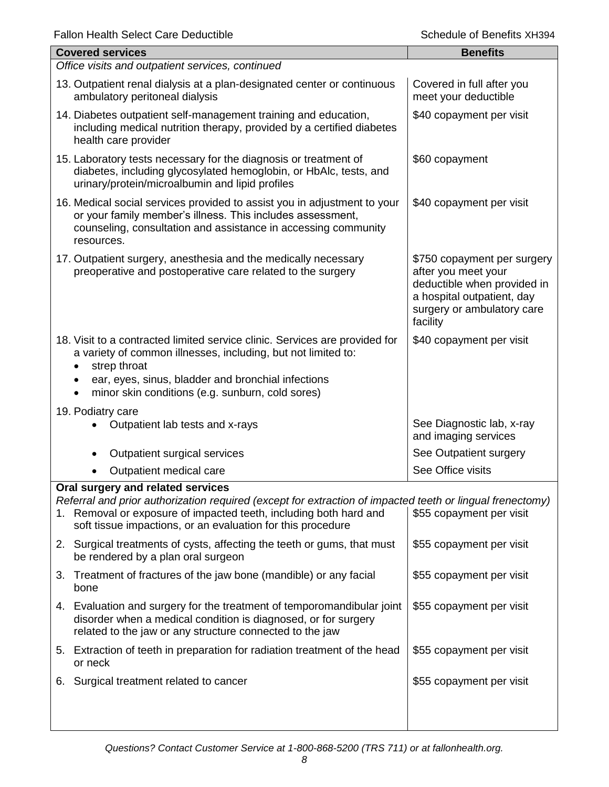| Fallon Health Select Care Dequctible<br>Schedule of Benefits XH394                                                                                                                                                                                                                  |                                                                                                                                                           |  |  |
|-------------------------------------------------------------------------------------------------------------------------------------------------------------------------------------------------------------------------------------------------------------------------------------|-----------------------------------------------------------------------------------------------------------------------------------------------------------|--|--|
| <b>Covered services</b>                                                                                                                                                                                                                                                             | <b>Benefits</b>                                                                                                                                           |  |  |
| Office visits and outpatient services, continued                                                                                                                                                                                                                                    |                                                                                                                                                           |  |  |
| 13. Outpatient renal dialysis at a plan-designated center or continuous<br>ambulatory peritoneal dialysis                                                                                                                                                                           | Covered in full after you<br>meet your deductible                                                                                                         |  |  |
| 14. Diabetes outpatient self-management training and education,<br>including medical nutrition therapy, provided by a certified diabetes<br>health care provider                                                                                                                    | \$40 copayment per visit                                                                                                                                  |  |  |
| 15. Laboratory tests necessary for the diagnosis or treatment of<br>diabetes, including glycosylated hemoglobin, or HbAlc, tests, and<br>urinary/protein/microalbumin and lipid profiles                                                                                            | \$60 copayment                                                                                                                                            |  |  |
| 16. Medical social services provided to assist you in adjustment to your<br>or your family member's illness. This includes assessment,<br>counseling, consultation and assistance in accessing community<br>resources.                                                              | \$40 copayment per visit                                                                                                                                  |  |  |
| 17. Outpatient surgery, anesthesia and the medically necessary<br>preoperative and postoperative care related to the surgery                                                                                                                                                        | \$750 copayment per surgery<br>after you meet your<br>deductible when provided in<br>a hospital outpatient, day<br>surgery or ambulatory care<br>facility |  |  |
| 18. Visit to a contracted limited service clinic. Services are provided for<br>a variety of common illnesses, including, but not limited to:<br>strep throat<br>$\bullet$<br>ear, eyes, sinus, bladder and bronchial infections<br>minor skin conditions (e.g. sunburn, cold sores) | \$40 copayment per visit                                                                                                                                  |  |  |
| 19. Podiatry care<br>Outpatient lab tests and x-rays                                                                                                                                                                                                                                | See Diagnostic lab, x-ray<br>and imaging services                                                                                                         |  |  |
| Outpatient surgical services                                                                                                                                                                                                                                                        | See Outpatient surgery                                                                                                                                    |  |  |
| Outpatient medical care                                                                                                                                                                                                                                                             | See Office visits                                                                                                                                         |  |  |
| Oral surgery and related services                                                                                                                                                                                                                                                   |                                                                                                                                                           |  |  |
| Referral and prior authorization required (except for extraction of impacted teeth or lingual frenectomy)<br>Removal or exposure of impacted teeth, including both hard and<br>1.<br>soft tissue impactions, or an evaluation for this procedure                                    | \$55 copayment per visit                                                                                                                                  |  |  |
| 2. Surgical treatments of cysts, affecting the teeth or gums, that must<br>be rendered by a plan oral surgeon                                                                                                                                                                       | \$55 copayment per visit                                                                                                                                  |  |  |
| Treatment of fractures of the jaw bone (mandible) or any facial<br>3.<br>bone                                                                                                                                                                                                       | \$55 copayment per visit                                                                                                                                  |  |  |
| 4. Evaluation and surgery for the treatment of temporomandibular joint<br>disorder when a medical condition is diagnosed, or for surgery<br>related to the jaw or any structure connected to the jaw                                                                                | \$55 copayment per visit                                                                                                                                  |  |  |
| 5. Extraction of teeth in preparation for radiation treatment of the head<br>or neck                                                                                                                                                                                                | \$55 copayment per visit                                                                                                                                  |  |  |
| Surgical treatment related to cancer<br>6.                                                                                                                                                                                                                                          | \$55 copayment per visit                                                                                                                                  |  |  |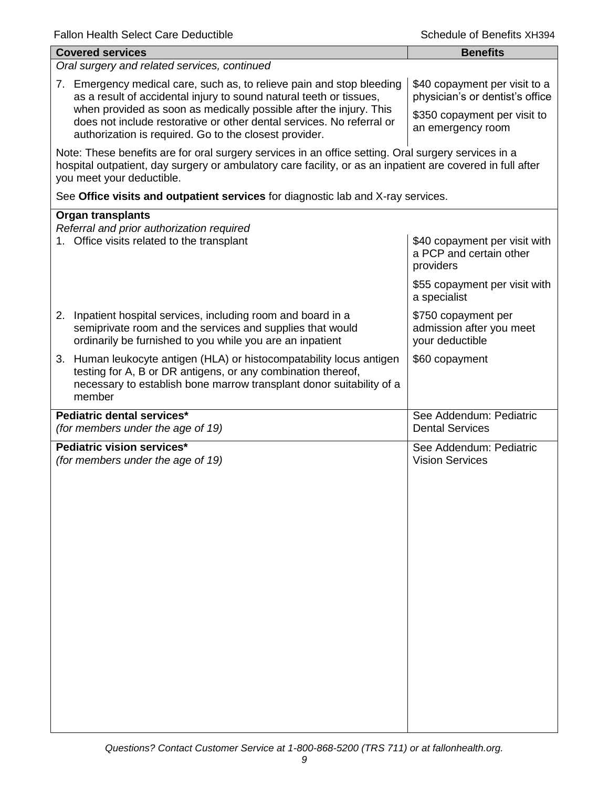| <b>Covered services</b>                                                                                                                                                                                                                        | <b>Benefits</b>                                                       |  |  |
|------------------------------------------------------------------------------------------------------------------------------------------------------------------------------------------------------------------------------------------------|-----------------------------------------------------------------------|--|--|
| Oral surgery and related services, continued                                                                                                                                                                                                   |                                                                       |  |  |
| 7. Emergency medical care, such as, to relieve pain and stop bleeding<br>as a result of accidental injury to sound natural teeth or tissues,                                                                                                   | \$40 copayment per visit to a<br>physician's or dentist's office      |  |  |
| when provided as soon as medically possible after the injury. This<br>does not include restorative or other dental services. No referral or<br>authorization is required. Go to the closest provider.                                          | \$350 copayment per visit to<br>an emergency room                     |  |  |
| Note: These benefits are for oral surgery services in an office setting. Oral surgery services in a<br>hospital outpatient, day surgery or ambulatory care facility, or as an inpatient are covered in full after<br>you meet your deductible. |                                                                       |  |  |
| See Office visits and outpatient services for diagnostic lab and X-ray services.                                                                                                                                                               |                                                                       |  |  |
| <b>Organ transplants</b><br>Referral and prior authorization required<br>1. Office visits related to the transplant                                                                                                                            | \$40 copayment per visit with<br>a PCP and certain other<br>providers |  |  |
|                                                                                                                                                                                                                                                | \$55 copayment per visit with<br>a specialist                         |  |  |
| 2. Inpatient hospital services, including room and board in a<br>semiprivate room and the services and supplies that would<br>ordinarily be furnished to you while you are an inpatient                                                        | \$750 copayment per<br>admission after you meet<br>your deductible    |  |  |
| 3. Human leukocyte antigen (HLA) or histocompatability locus antigen<br>testing for A, B or DR antigens, or any combination thereof,<br>necessary to establish bone marrow transplant donor suitability of a<br>member                         | \$60 copayment                                                        |  |  |
| Pediatric dental services*<br>(for members under the age of 19)                                                                                                                                                                                | See Addendum: Pediatric<br><b>Dental Services</b>                     |  |  |
| Pediatric vision services*<br>(for members under the age of 19)                                                                                                                                                                                | See Addendum: Pediatric<br><b>Vision Services</b>                     |  |  |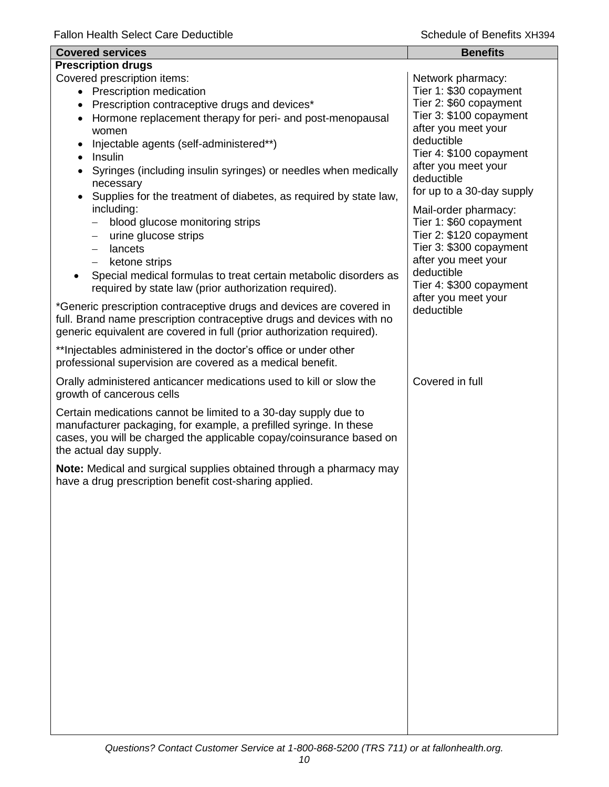| <b>Covered services</b>                                                                                                                                                                                                                      | <b>Benefits</b>                                                                                                    |
|----------------------------------------------------------------------------------------------------------------------------------------------------------------------------------------------------------------------------------------------|--------------------------------------------------------------------------------------------------------------------|
| <b>Prescription drugs</b>                                                                                                                                                                                                                    |                                                                                                                    |
| Covered prescription items:<br>• Prescription medication<br>Prescription contraceptive drugs and devices*<br>Hormone replacement therapy for peri- and post-menopausal                                                                       | Network pharmacy:<br>Tier 1: \$30 copayment<br>Tier 2: \$60 copayment<br>Tier 3: \$100 copayment                   |
| women<br>Injectable agents (self-administered**)<br>Insulin<br>Syringes (including insulin syringes) or needles when medically                                                                                                               | after you meet your<br>deductible<br>Tier 4: \$100 copayment<br>after you meet your                                |
| necessary<br>Supplies for the treatment of diabetes, as required by state law,<br>including:<br>blood glucose monitoring strips                                                                                                              | deductible<br>for up to a 30-day supply<br>Mail-order pharmacy:<br>Tier 1: \$60 copayment                          |
| urine glucose strips<br>$\qquad \qquad -$<br>lancets<br>$\qquad \qquad -$<br>ketone strips<br>$\qquad \qquad -$<br>Special medical formulas to treat certain metabolic disorders as<br>required by state law (prior authorization required). | Tier 2: \$120 copayment<br>Tier 3: \$300 copayment<br>after you meet your<br>deductible<br>Tier 4: \$300 copayment |
| *Generic prescription contraceptive drugs and devices are covered in<br>full. Brand name prescription contraceptive drugs and devices with no<br>generic equivalent are covered in full (prior authorization required).                      | after you meet your<br>deductible                                                                                  |
| ** Injectables administered in the doctor's office or under other<br>professional supervision are covered as a medical benefit.                                                                                                              |                                                                                                                    |
| Orally administered anticancer medications used to kill or slow the<br>growth of cancerous cells                                                                                                                                             | Covered in full                                                                                                    |
| Certain medications cannot be limited to a 30-day supply due to<br>manufacturer packaging, for example, a prefilled syringe. In these<br>cases, you will be charged the applicable copay/coinsurance based on<br>the actual day supply.      |                                                                                                                    |
| Note: Medical and surgical supplies obtained through a pharmacy may<br>have a drug prescription benefit cost-sharing applied.                                                                                                                |                                                                                                                    |
|                                                                                                                                                                                                                                              |                                                                                                                    |
|                                                                                                                                                                                                                                              |                                                                                                                    |
|                                                                                                                                                                                                                                              |                                                                                                                    |
|                                                                                                                                                                                                                                              |                                                                                                                    |
|                                                                                                                                                                                                                                              |                                                                                                                    |
|                                                                                                                                                                                                                                              |                                                                                                                    |
|                                                                                                                                                                                                                                              |                                                                                                                    |
|                                                                                                                                                                                                                                              |                                                                                                                    |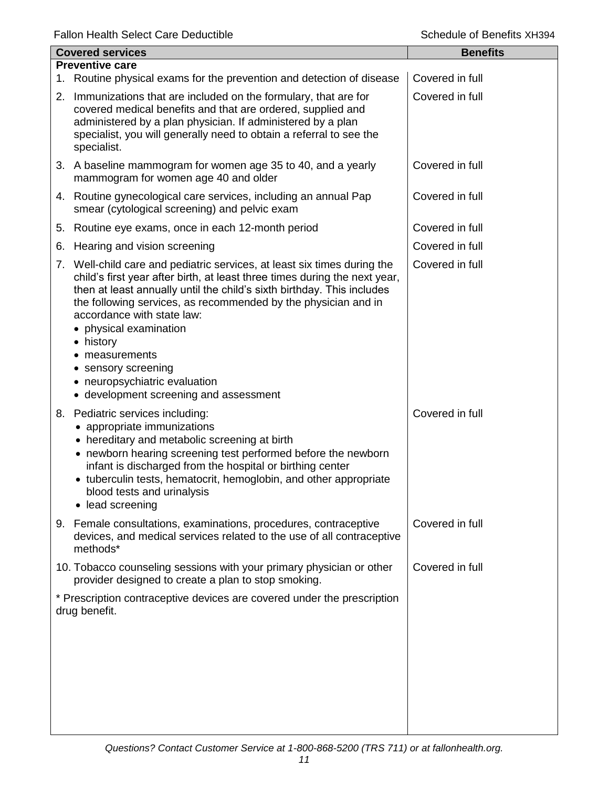|                                                                                                                                                                                                                                                                                                                                                                                                               | <b>Benefits</b>                                                                                                                                                                                                                                                                                                                                                                                                                                                                                                                                                                                                                                                                         |
|---------------------------------------------------------------------------------------------------------------------------------------------------------------------------------------------------------------------------------------------------------------------------------------------------------------------------------------------------------------------------------------------------------------|-----------------------------------------------------------------------------------------------------------------------------------------------------------------------------------------------------------------------------------------------------------------------------------------------------------------------------------------------------------------------------------------------------------------------------------------------------------------------------------------------------------------------------------------------------------------------------------------------------------------------------------------------------------------------------------------|
|                                                                                                                                                                                                                                                                                                                                                                                                               | Covered in full                                                                                                                                                                                                                                                                                                                                                                                                                                                                                                                                                                                                                                                                         |
|                                                                                                                                                                                                                                                                                                                                                                                                               |                                                                                                                                                                                                                                                                                                                                                                                                                                                                                                                                                                                                                                                                                         |
| covered medical benefits and that are ordered, supplied and<br>administered by a plan physician. If administered by a plan<br>specialist, you will generally need to obtain a referral to see the<br>specialist.                                                                                                                                                                                              | Covered in full                                                                                                                                                                                                                                                                                                                                                                                                                                                                                                                                                                                                                                                                         |
| mammogram for women age 40 and older                                                                                                                                                                                                                                                                                                                                                                          | Covered in full                                                                                                                                                                                                                                                                                                                                                                                                                                                                                                                                                                                                                                                                         |
| smear (cytological screening) and pelvic exam                                                                                                                                                                                                                                                                                                                                                                 | Covered in full                                                                                                                                                                                                                                                                                                                                                                                                                                                                                                                                                                                                                                                                         |
| Routine eye exams, once in each 12-month period                                                                                                                                                                                                                                                                                                                                                               | Covered in full                                                                                                                                                                                                                                                                                                                                                                                                                                                                                                                                                                                                                                                                         |
| Hearing and vision screening                                                                                                                                                                                                                                                                                                                                                                                  | Covered in full                                                                                                                                                                                                                                                                                                                                                                                                                                                                                                                                                                                                                                                                         |
| child's first year after birth, at least three times during the next year,<br>then at least annually until the child's sixth birthday. This includes<br>the following services, as recommended by the physician and in<br>accordance with state law:<br>• physical examination<br>• history<br>measurements<br>• sensory screening<br>• neuropsychiatric evaluation<br>• development screening and assessment | Covered in full                                                                                                                                                                                                                                                                                                                                                                                                                                                                                                                                                                                                                                                                         |
| appropriate immunizations<br>• hereditary and metabolic screening at birth<br>• newborn hearing screening test performed before the newborn<br>infant is discharged from the hospital or birthing center<br>• tuberculin tests, hematocrit, hemoglobin, and other appropriate<br>blood tests and urinalysis<br>lead screening<br>$\bullet$                                                                    | Covered in full                                                                                                                                                                                                                                                                                                                                                                                                                                                                                                                                                                                                                                                                         |
| devices, and medical services related to the use of all contraceptive<br>methods*                                                                                                                                                                                                                                                                                                                             | Covered in full                                                                                                                                                                                                                                                                                                                                                                                                                                                                                                                                                                                                                                                                         |
| provider designed to create a plan to stop smoking.                                                                                                                                                                                                                                                                                                                                                           | Covered in full                                                                                                                                                                                                                                                                                                                                                                                                                                                                                                                                                                                                                                                                         |
|                                                                                                                                                                                                                                                                                                                                                                                                               |                                                                                                                                                                                                                                                                                                                                                                                                                                                                                                                                                                                                                                                                                         |
|                                                                                                                                                                                                                                                                                                                                                                                                               | <b>Covered services</b><br><b>Preventive care</b><br>1. Routine physical exams for the prevention and detection of disease<br>2. Immunizations that are included on the formulary, that are for<br>3. A baseline mammogram for women age 35 to 40, and a yearly<br>4. Routine gynecological care services, including an annual Pap<br>7. Well-child care and pediatric services, at least six times during the<br>8. Pediatric services including:<br>Female consultations, examinations, procedures, contraceptive<br>10. Tobacco counseling sessions with your primary physician or other<br>* Prescription contraceptive devices are covered under the prescription<br>drug benefit. |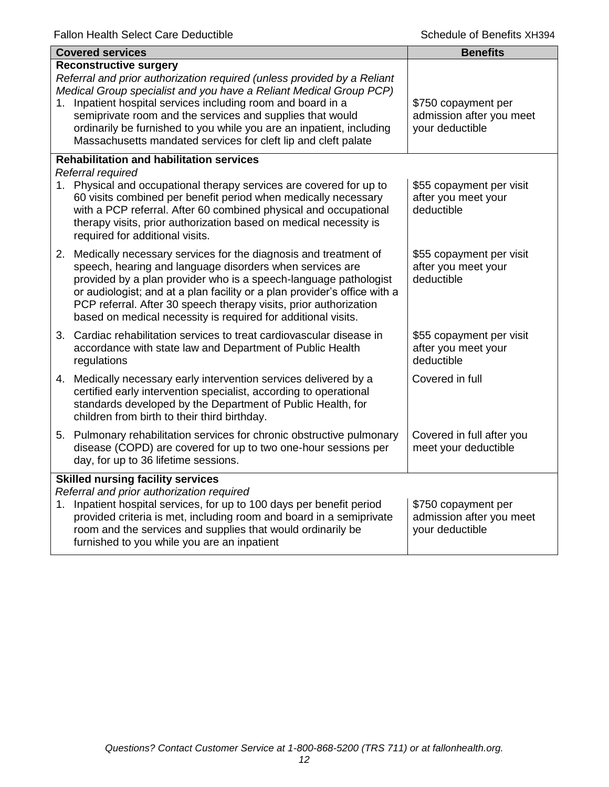|                                          | <b>Covered services</b>                                                                                                                                                                                                                                                                                                                                                                                                                            | <b>Benefits</b>                                                    |  |  |
|------------------------------------------|----------------------------------------------------------------------------------------------------------------------------------------------------------------------------------------------------------------------------------------------------------------------------------------------------------------------------------------------------------------------------------------------------------------------------------------------------|--------------------------------------------------------------------|--|--|
| 1.                                       | <b>Reconstructive surgery</b><br>Referral and prior authorization required (unless provided by a Reliant<br>Medical Group specialist and you have a Reliant Medical Group PCP)<br>Inpatient hospital services including room and board in a<br>semiprivate room and the services and supplies that would<br>ordinarily be furnished to you while you are an inpatient, including<br>Massachusetts mandated services for cleft lip and cleft palate | \$750 copayment per<br>admission after you meet<br>your deductible |  |  |
|                                          | <b>Rehabilitation and habilitation services</b><br>Referral required                                                                                                                                                                                                                                                                                                                                                                               |                                                                    |  |  |
|                                          | 1. Physical and occupational therapy services are covered for up to<br>60 visits combined per benefit period when medically necessary<br>with a PCP referral. After 60 combined physical and occupational<br>therapy visits, prior authorization based on medical necessity is<br>required for additional visits.                                                                                                                                  | \$55 copayment per visit<br>after you meet your<br>deductible      |  |  |
|                                          | 2. Medically necessary services for the diagnosis and treatment of<br>speech, hearing and language disorders when services are<br>provided by a plan provider who is a speech-language pathologist<br>or audiologist; and at a plan facility or a plan provider's office with a<br>PCP referral. After 30 speech therapy visits, prior authorization<br>based on medical necessity is required for additional visits.                              | \$55 copayment per visit<br>after you meet your<br>deductible      |  |  |
|                                          | 3. Cardiac rehabilitation services to treat cardiovascular disease in<br>accordance with state law and Department of Public Health<br>regulations                                                                                                                                                                                                                                                                                                  | \$55 copayment per visit<br>after you meet your<br>deductible      |  |  |
|                                          | 4. Medically necessary early intervention services delivered by a<br>certified early intervention specialist, according to operational<br>standards developed by the Department of Public Health, for<br>children from birth to their third birthday.                                                                                                                                                                                              | Covered in full                                                    |  |  |
|                                          | 5. Pulmonary rehabilitation services for chronic obstructive pulmonary<br>disease (COPD) are covered for up to two one-hour sessions per<br>day, for up to 36 lifetime sessions.                                                                                                                                                                                                                                                                   | Covered in full after you<br>meet your deductible                  |  |  |
| <b>Skilled nursing facility services</b> |                                                                                                                                                                                                                                                                                                                                                                                                                                                    |                                                                    |  |  |
| 1.                                       | Referral and prior authorization required<br>Inpatient hospital services, for up to 100 days per benefit period<br>provided criteria is met, including room and board in a semiprivate<br>room and the services and supplies that would ordinarily be<br>furnished to you while you are an inpatient                                                                                                                                               | \$750 copayment per<br>admission after you meet<br>your deductible |  |  |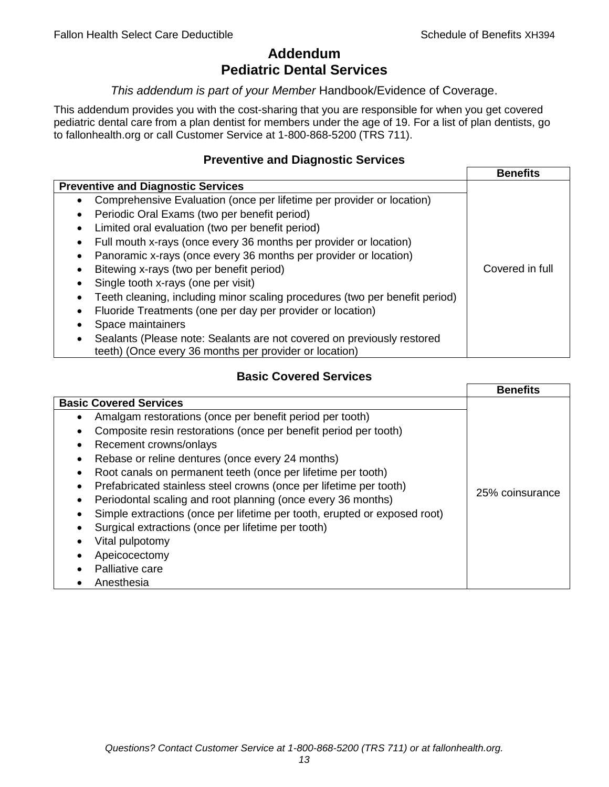# **Addendum Pediatric Dental Services**

### *This addendum is part of your Member* Handbook/Evidence of Coverage.

This addendum provides you with the cost-sharing that you are responsible for when you get covered pediatric dental care from a plan dentist for members under the age of 19. For a list of plan dentists, go to fallonhealth.org or call Customer Service at 1-800-868-5200 (TRS 711).

## **Preventive and Diagnostic Services**

|                                                                                    | <b>Benefits</b> |
|------------------------------------------------------------------------------------|-----------------|
| <b>Preventive and Diagnostic Services</b>                                          |                 |
| Comprehensive Evaluation (once per lifetime per provider or location)<br>$\bullet$ |                 |
| Periodic Oral Exams (two per benefit period)<br>$\bullet$                          |                 |
| Limited oral evaluation (two per benefit period)<br>$\bullet$                      |                 |
| Full mouth x-rays (once every 36 months per provider or location)<br>٠             |                 |
| Panoramic x-rays (once every 36 months per provider or location)                   |                 |
| Bitewing x-rays (two per benefit period)<br>٠                                      | Covered in full |
| Single tooth x-rays (one per visit)                                                |                 |
| Teeth cleaning, including minor scaling procedures (two per benefit period)        |                 |
| Fluoride Treatments (one per day per provider or location)<br>٠                    |                 |
| Space maintainers                                                                  |                 |
| Sealants (Please note: Sealants are not covered on previously restored             |                 |
| teeth) (Once every 36 months per provider or location)                             |                 |

# **Basic Covered Services**

|                                                                                                                                                                                                                                                                                                                                                                                                            | <b>Benefits</b> |
|------------------------------------------------------------------------------------------------------------------------------------------------------------------------------------------------------------------------------------------------------------------------------------------------------------------------------------------------------------------------------------------------------------|-----------------|
| <b>Basic Covered Services</b><br>Amalgam restorations (once per benefit period per tooth)<br>Composite resin restorations (once per benefit period per tooth)<br>Recement crowns/onlays<br>Rebase or reline dentures (once every 24 months)                                                                                                                                                                |                 |
| Root canals on permanent teeth (once per lifetime per tooth)<br>Prefabricated stainless steel crowns (once per lifetime per tooth)<br>Periodontal scaling and root planning (once every 36 months)<br>Simple extractions (once per lifetime per tooth, erupted or exposed root)<br>Surgical extractions (once per lifetime per tooth)<br>Vital pulpotomy<br>Apeicocectomy<br>Palliative care<br>Anesthesia | 25% coinsurance |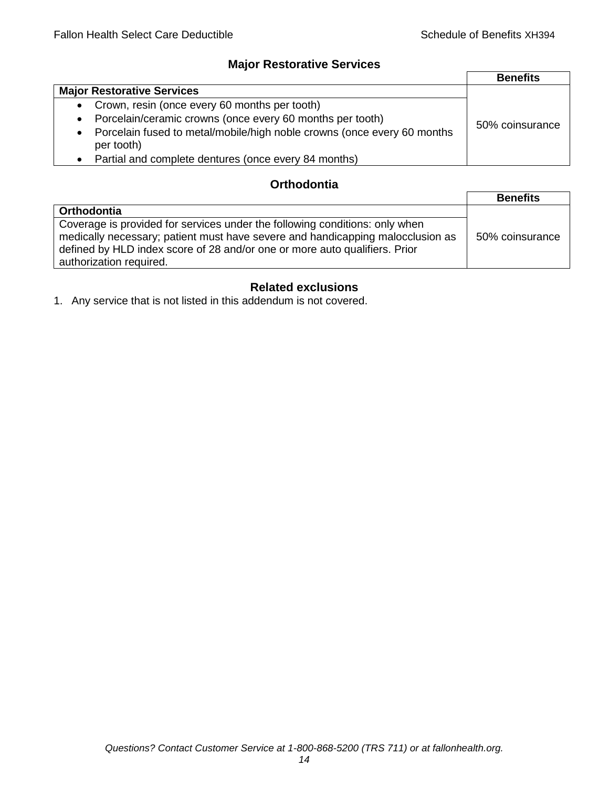# **Major Restorative Services**

|                                                                                                    | <b>Benefits</b> |
|----------------------------------------------------------------------------------------------------|-----------------|
| <b>Major Restorative Services</b>                                                                  |                 |
| • Crown, resin (once every 60 months per tooth)                                                    |                 |
| Porcelain/ceramic crowns (once every 60 months per tooth)<br>$\bullet$                             | 50% coinsurance |
| Porcelain fused to metal/mobile/high noble crowns (once every 60 months<br>$\bullet$<br>per tooth) |                 |
| Partial and complete dentures (once every 84 months)<br>$\bullet$                                  |                 |

# **Orthodontia**

|                                                                                                                                                                                                                                                                        | <b>Benefits</b> |
|------------------------------------------------------------------------------------------------------------------------------------------------------------------------------------------------------------------------------------------------------------------------|-----------------|
| <b>Orthodontia</b>                                                                                                                                                                                                                                                     |                 |
| Coverage is provided for services under the following conditions: only when<br>medically necessary; patient must have severe and handicapping malocclusion as<br>defined by HLD index score of 28 and/or one or more auto qualifiers. Prior<br>authorization required. | 50% coinsurance |

# **Related exclusions**

1. Any service that is not listed in this addendum is not covered.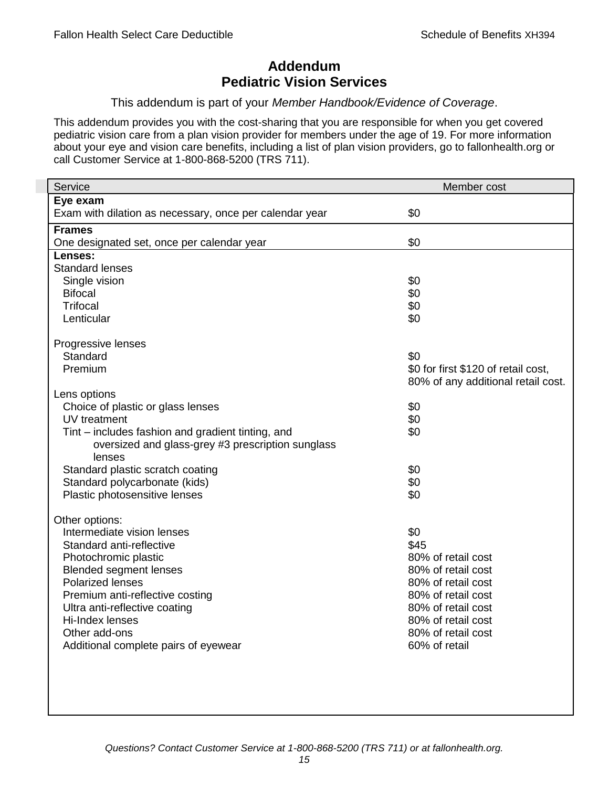# **Addendum Pediatric Vision Services**

## This addendum is part of your *Member Handbook/Evidence of Coverage*.

This addendum provides you with the cost-sharing that you are responsible for when you get covered pediatric vision care from a plan vision provider for members under the age of 19. For more information about your eye and vision care benefits, including a list of plan vision providers, go to fallonhealth.org or call Customer Service at 1-800-868-5200 (TRS 711).

| Service                                                 | Member cost                         |
|---------------------------------------------------------|-------------------------------------|
| Eye exam                                                |                                     |
| Exam with dilation as necessary, once per calendar year | \$0                                 |
| <b>Frames</b>                                           |                                     |
| One designated set, once per calendar year              | \$0                                 |
| Lenses:                                                 |                                     |
| <b>Standard lenses</b>                                  |                                     |
| Single vision                                           | \$0                                 |
| <b>Bifocal</b>                                          | \$0                                 |
| <b>Trifocal</b>                                         | \$0                                 |
| Lenticular                                              | \$0                                 |
| Progressive lenses                                      |                                     |
| Standard                                                | \$0                                 |
| Premium                                                 | \$0 for first \$120 of retail cost, |
|                                                         | 80% of any additional retail cost.  |
| Lens options                                            |                                     |
| Choice of plastic or glass lenses                       | \$0                                 |
| UV treatment                                            | \$0                                 |
| Tint – includes fashion and gradient tinting, and       | \$0                                 |
| oversized and glass-grey #3 prescription sunglass       |                                     |
| lenses                                                  |                                     |
| Standard plastic scratch coating                        | \$0                                 |
| Standard polycarbonate (kids)                           | \$0                                 |
| Plastic photosensitive lenses                           | \$0                                 |
| Other options:                                          |                                     |
| Intermediate vision lenses                              | \$0                                 |
| Standard anti-reflective                                | \$45                                |
| Photochromic plastic                                    | 80% of retail cost                  |
| <b>Blended segment lenses</b>                           | 80% of retail cost                  |
| <b>Polarized lenses</b>                                 | 80% of retail cost                  |
| Premium anti-reflective costing                         | 80% of retail cost                  |
| Ultra anti-reflective coating                           | 80% of retail cost                  |
| Hi-Index lenses                                         | 80% of retail cost                  |
| Other add-ons                                           | 80% of retail cost                  |
| Additional complete pairs of eyewear                    | 60% of retail                       |
|                                                         |                                     |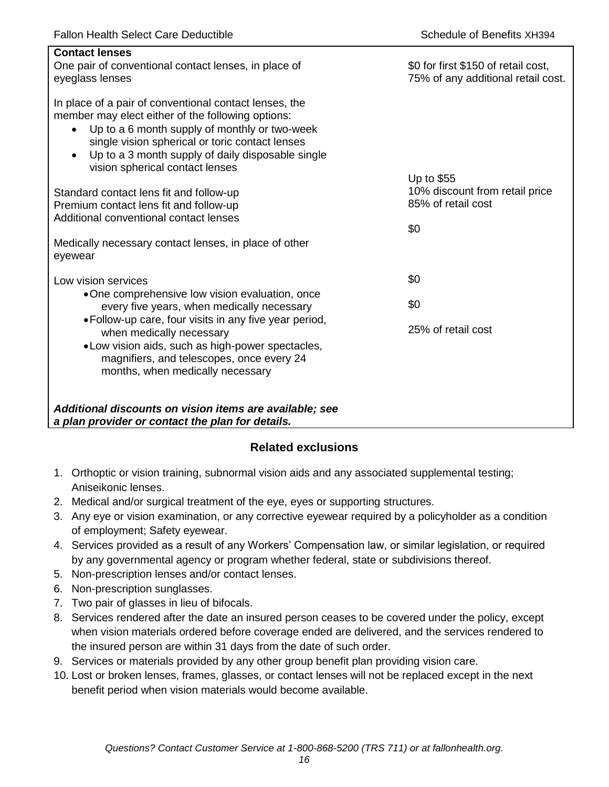| <b>Contact lenses</b><br>One pair of conventional contact lenses, in place of<br>eyeglass lenses                                                                                                                                                                                                                                  | \$0 for first \$150 of retail cost,<br>75% of any additional retail cost. |
|-----------------------------------------------------------------------------------------------------------------------------------------------------------------------------------------------------------------------------------------------------------------------------------------------------------------------------------|---------------------------------------------------------------------------|
| In place of a pair of conventional contact lenses, the<br>member may elect either of the following options:<br>Up to a 6 month supply of monthly or two-week<br>$\bullet$<br>single vision spherical or toric contact lenses<br>Up to a 3 month supply of daily disposable single<br>$\bullet$<br>vision spherical contact lenses |                                                                           |
| Standard contact lens fit and follow-up<br>Premium contact lens fit and follow-up<br>Additional conventional contact lenses                                                                                                                                                                                                       | Up to \$55<br>10% discount from retail price<br>85% of retail cost<br>\$0 |
| Medically necessary contact lenses, in place of other<br>eyewear                                                                                                                                                                                                                                                                  |                                                                           |
| Low vision services                                                                                                                                                                                                                                                                                                               | \$0                                                                       |
| •One comprehensive low vision evaluation, once<br>every five years, when medically necessary                                                                                                                                                                                                                                      | \$0                                                                       |
| • Follow-up care, four visits in any five year period,<br>when medically necessary<br>• Low vision aids, such as high-power spectacles,<br>magnifiers, and telescopes, once every 24<br>months, when medically necessary                                                                                                          | 25% of retail cost                                                        |
| Additional discounts on vision items are available; see<br>a plan provider or contact the plan for details.                                                                                                                                                                                                                       |                                                                           |

# **Related exclusions**

- 1. Orthoptic or vision training, subnormal vision aids and any associated supplemental testing; Aniseikonic lenses.
- 2. Medical and/or surgical treatment of the eye, eyes or supporting structures.
- 3. Any eye or vision examination, or any corrective eyewear required by a policyholder as a condition of employment; Safety eyewear.
- 4. Services provided as a result of any Workers' Compensation law, or similar legislation, or required by any governmental agency or program whether federal, state or subdivisions thereof.
- 5. Non-prescription lenses and/or contact lenses.
- 6. Non-prescription sunglasses.
- 7. Two pair of glasses in lieu of bifocals.
- 8. Services rendered after the date an insured person ceases to be covered under the policy, except when vision materials ordered before coverage ended are delivered, and the services rendered to the insured person are within 31 days from the date of such order.
- 9. Services or materials provided by any other group benefit plan providing vision care.
- 10. Lost or broken lenses, frames, glasses, or contact lenses will not be replaced except in the next benefit period when vision materials would become available.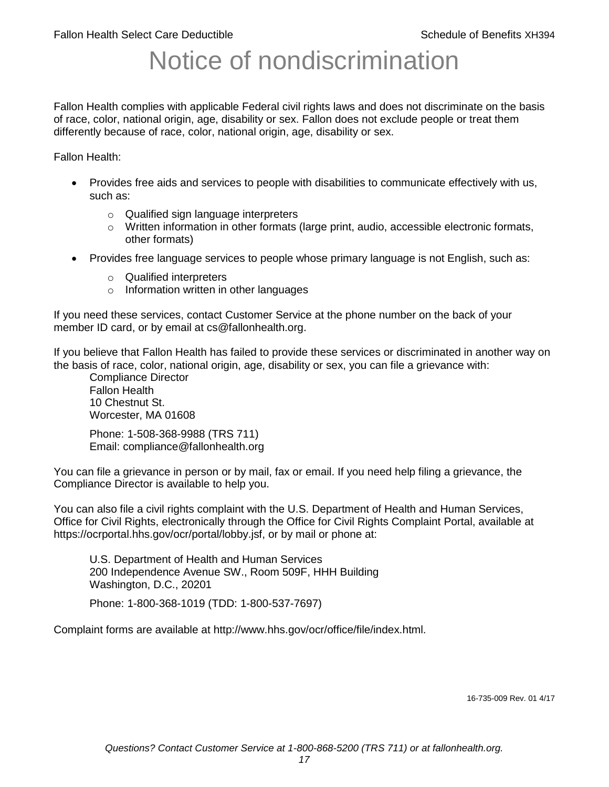# Notice of nondiscrimination

Fallon Health complies with applicable Federal civil rights laws and does not discriminate on the basis of race, color, national origin, age, disability or sex. Fallon does not exclude people or treat them differently because of race, color, national origin, age, disability or sex.

Fallon Health:

- Provides free aids and services to people with disabilities to communicate effectively with us, such as:
	- o Qualified sign language interpreters
	- $\circ$  Written information in other formats (large print, audio, accessible electronic formats, other formats)
- Provides free language services to people whose primary language is not English, such as:
	- o Qualified interpreters
	- o Information written in other languages

If you need these services, contact Customer Service at the phone number on the back of your member ID card, or by email at cs@fallonhealth.org.

If you believe that Fallon Health has failed to provide these services or discriminated in another way on the basis of race, color, national origin, age, disability or sex, you can file a grievance with:

Compliance Director Fallon Health 10 Chestnut St. Worcester, MA 01608

Phone: 1-508-368-9988 (TRS 711) Email: compliance@fallonhealth.org

You can file a grievance in person or by mail, fax or email. If you need help filing a grievance, the Compliance Director is available to help you.

You can also file a civil rights complaint with the U.S. Department of Health and Human Services, Office for Civil Rights, electronically through the Office for Civil Rights Complaint Portal, available at https://ocrportal.hhs.gov/ocr/portal/lobby.jsf, or by mail or phone at:

U.S. Department of Health and Human Services 200 Independence Avenue SW., Room 509F, HHH Building Washington, D.C., 20201

Phone: 1-800-368-1019 (TDD: 1-800-537-7697)

Complaint forms are available at http://www.hhs.gov/ocr/office/file/index.html.

16-735-009 Rev. 01 4/17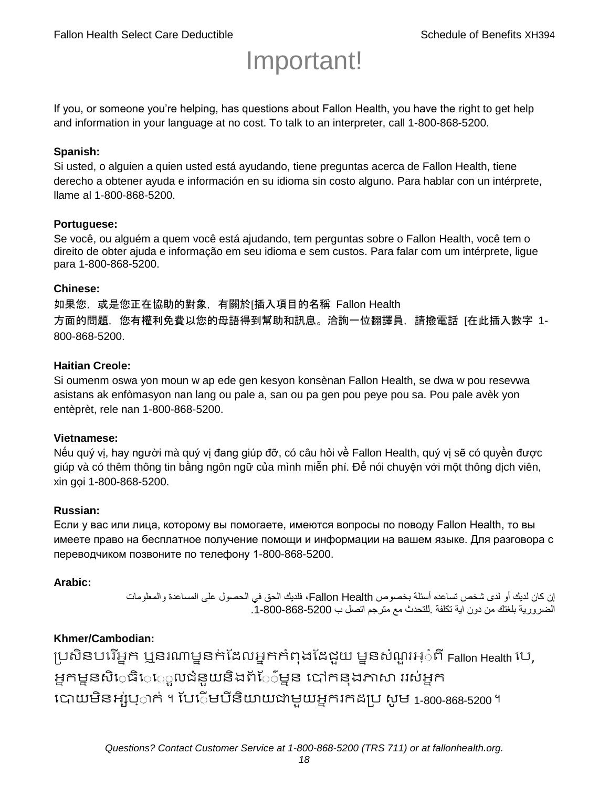# Important!

If you, or someone you're helping, has questions about Fallon Health, you have the right to get help and information in your language at no cost. To talk to an interpreter, call 1-800-868-5200.

#### **Spanish:**

Si usted, o alguien a quien usted está ayudando, tiene preguntas acerca de Fallon Health, tiene derecho a obtener ayuda e información en su idioma sin costo alguno. Para hablar con un intérprete, llame al 1-800-868-5200.

#### **Portuguese:**

Se você, ou alguém a quem você está ajudando, tem perguntas sobre o Fallon Health, você tem o direito de obter ajuda e informação em seu idioma e sem custos. Para falar com um intérprete, ligue para 1-800-868-5200.

#### **Chinese:**

如果您,或是您正在協助的對象,有關於[插入項目的名稱 Fallon Health 方面的問題, 您有權利免費以您的母語得到幫助和訊息。洽詢一位翻譯員, 請撥電話 [在此插入數字 1-800-868-5200.

#### **Haitian Creole:**

Si oumenm oswa yon moun w ap ede gen kesyon konsènan Fallon Health, se dwa w pou resevwa asistans ak enfòmasyon nan lang ou pale a, san ou pa gen pou peye pou sa. Pou pale avèk yon entèprèt, rele nan 1-800-868-5200.

#### **Vietnamese:**

Nếu quý vị, hay người mà quý vị đang giúp đỡ, có câu hỏi về Fallon Health, quý vị sẽ có quyền được giúp và có thêm thông tin bằng ngôn ngữ của mình miễn phí. Để nói chuyện với một thông dịch viên, xin gọi 1-800-868-5200.

#### **Russian:**

Если у вас или лица, которому вы помогаете, имеются вопросы по поводу Fallon Health, то вы имеете право на бесплатное получение помощи и информации на вашем языке. Для разговора с переводчиком позвоните по телефону 1-800-868-5200.

#### **Arabic:**

إن كان لديك أو لدى شخص تساعده أسئلة بخصوص Health Fallon، فلديك الحق في الحصول على المساعدة والمعلومات الضرورية بلغتك من دون اية تكلفة .للتحدث مع مترجم اتصل ب .1-800-868-5200

## **Khmer/Cambodian:**

ប្រសិនបរើអ្នក ឬនរណាម្ននក់ដែលអ្នកកំពុងដែជយ ម្ននសំណួរអ្៎ពី Fallon Health រប, អ្នកម្ននសិេធិេ្រុលជំនួយនិងព័ែ៌ម្នន បៅកនុងភាសា ររស់អ្នក រោយម្ិនអ្ស់រ្ំ ក់ ។ ដររំម្ រនី ិយាយជាម្ួយអ្នក កែប្រ សូ ម្ 1-800-868-5200 ។